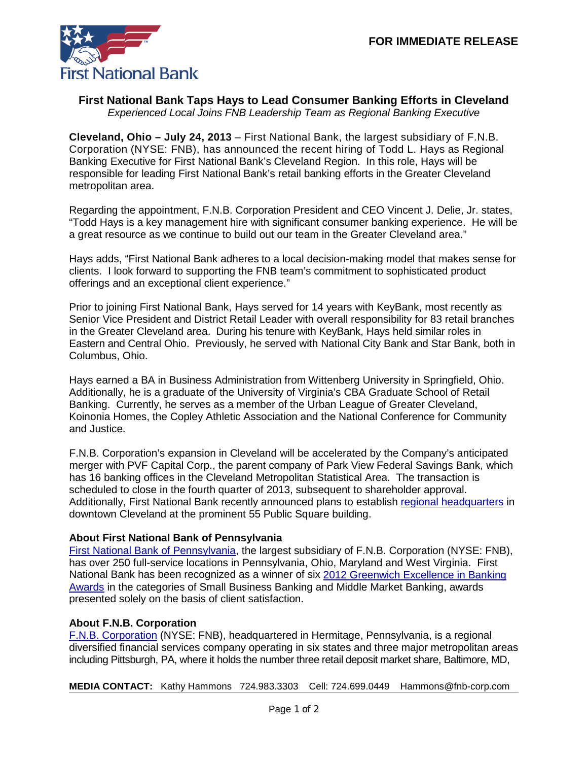

## **First National Bank Taps Hays to Lead Consumer Banking Efforts in Cleveland**

*Experienced Local Joins FNB Leadership Team as Regional Banking Executive*

**Cleveland, Ohio – July 24, 2013** – First National Bank, the largest subsidiary of F.N.B. Corporation (NYSE: FNB), has announced the recent hiring of Todd L. Hays as Regional Banking Executive for First National Bank's Cleveland Region. In this role, Hays will be responsible for leading First National Bank's retail banking efforts in the Greater Cleveland metropolitan area.

Regarding the appointment, F.N.B. Corporation President and CEO Vincent J. Delie, Jr. states, "Todd Hays is a key management hire with significant consumer banking experience. He will be a great resource as we continue to build out our team in the Greater Cleveland area."

Hays adds, "First National Bank adheres to a local decision-making model that makes sense for clients. I look forward to supporting the FNB team's commitment to sophisticated product offerings and an exceptional client experience."

Prior to joining First National Bank, Hays served for 14 years with KeyBank, most recently as Senior Vice President and District Retail Leader with overall responsibility for 83 retail branches in the Greater Cleveland area. During his tenure with KeyBank, Hays held similar roles in Eastern and Central Ohio. Previously, he served with National City Bank and Star Bank, both in Columbus, Ohio.

Hays earned a BA in Business Administration from Wittenberg University in Springfield, Ohio. Additionally, he is a graduate of the University of Virginia's CBA Graduate School of Retail Banking. Currently, he serves as a member of the Urban League of Greater Cleveland, Koinonia Homes, the Copley Athletic Association and the National Conference for Community and Justice.

F.N.B. Corporation's expansion in Cleveland will be accelerated by the Company's anticipated merger with PVF Capital Corp., the parent company of Park View Federal Savings Bank, which has 16 banking offices in the Cleveland Metropolitan Statistical Area. The transaction is scheduled to close in the fourth quarter of 2013, subsequent to shareholder approval. Additionally, First National Bank recently announced plans to establish [regional headquarters](https://www.fnb-online.com/News/2013/July/July112013.aspx) in downtown Cleveland at the prominent 55 Public Square building.

## **About First National Bank of Pennsylvania**

[First National Bank of Pennsylvania,](https://www.fnb-online.com/) the largest subsidiary of F.N.B. Corporation (NYSE: FNB), has over 250 full-service locations in Pennsylvania, Ohio, Maryland and West Virginia. First National Bank has been recognized as a winner of six [2012 Greenwich Excellence in Banking](https://www.fnb-online.com/News/2013/February/February212013.aspx)  [Awards](https://www.fnb-online.com/News/2013/February/February212013.aspx) in the categories of Small Business Banking and Middle Market Banking, awards presented solely on the basis of client satisfaction.

## **About F.N.B. Corporation**

[F.N.B. Corporation](http://www.fnbcorporation.com/) (NYSE: FNB), headquartered in Hermitage, Pennsylvania, is a regional diversified financial services company operating in six states and three major metropolitan areas including Pittsburgh, PA, where it holds the number three retail deposit market share, Baltimore, MD,

**MEDIA CONTACT:** Kathy Hammons 724.983.3303 Cell: 724.699.0449 Hammons@fnb-corp.com